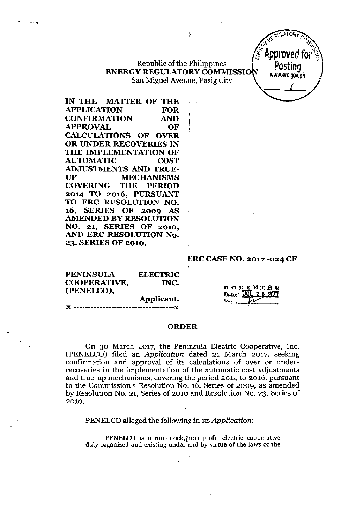## Republic of the Philippines ENERGY REGULATORY COMMISSIO San Miguel Avenue, Pasig City

J.

 $\mathbf{r}$ 

IN THE MATTER OF THE APPLICATION FOR CONFIRMATION AND APPROVAL OF CALCULATIONS OF OVER OR UNDER RECOVERIES IN THE IMPLEMENTATION OF AUTOMATIC COST ADJUSTMENTS AND TRUE-UP MECHANISMS COVERING THE PERIOD 2014 TO 2016, PURSUANT TO ERC RESOLUTION NO. 16, SERIES OF 2009 AS AMENDED BY RESOLUTION NO. 21, SERIES OF 2010, AND ERC RESOLUTION No. 23, SERIES OF 2010,

,.

#### ERC CASE NO. 2017 -024 CF

в в 2NT7

REGULATOR

*'" Od* (} '4;.~ !Approved foru~

Posting [www.erc.goy.ph](http://www.erc.goy.ph) *i*

| <b>PENINSULA</b>    | <b>ELECTRIC</b> |                    |
|---------------------|-----------------|--------------------|
| <b>COOPERATIVE,</b> | INC.            |                    |
| (PENELCO),          |                 | DOCKET<br>Date:    |
|                     | Applicant.      | $R_{\nabla}$ $\mu$ |
|                     |                 |                    |

#### ORDER

On 30 March 2017, the Peninsula Electric Cooperative, Inc. (PENELCO) filed an *Application* dated 21 March 2017, seeking confirmation and approval of its calculations of over or underrecoveries in the implementation of the automatic cost adjustments and true-up mechanisms, covering the period 2014 to 2016, pursuant to the Commission's Resolution No. 16, Series of 2009, as amended by Resolution No. 21, Series of 2010 and Resolution No. 23, Series of 2010.

PENELCO alleged the following in its *Application*:

1. PENELCO is a non-stock,! non-profit electric cooperative duly organized and existing under and by virtue of the laws of the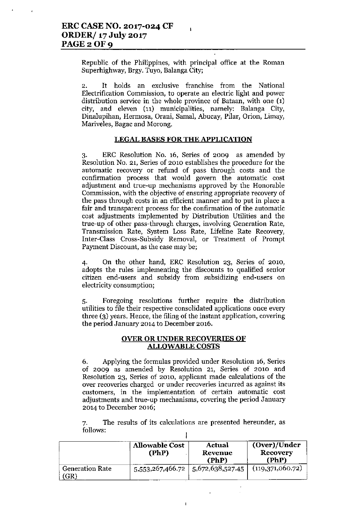Republic of the Philippines, with principal office at the Roman Superhighway, Brgy. Tuyo, Balanga City;

 $\mathbf{I}$ 

2. It holds an exclusive franchise from the National Electrification Commission, to operate an electric light and power distribution service in the whole province of Bataan, with one (1) city, and eleven (11) municipalities, namely: Balanga City, Dinalupihan, Hermosa, Orani, SamaI, Abucay, Pilar, Orion, Limay, Mariveles, Bagac and Morong.

### LEGAL BASES FOR THE APPLICATION

3. ERC Resolution No. 16, Series of 2009 as amended by Resolution No. 21, Series of 2010 establishes the procedure for the automatic recovery or refund of pass through costs and the confirmation process that would govern the automatic cost adjustment and true-up mechanisms approved by the Honorable Commission, with the objective of ensuring appropriate recovery of the pass through costs in an efficient manner and to put in place a fair and transparent process for the confirmation of the automatic cost adjustments implemented by Distribution Utilities and the true-up of other pass-through charges, involving Generation Rate, Transmission Rate, System Loss Rate, Lifeline Rate Recovery, Inter-Class Cross-Subsidy Removal, or Treatment of Prompt Payment Discount, as the case may be;

4. On the other hand, ERC Resolution 23, Series of 2010, adopts the rules implementing the discounts to qualified senior citizen end-users and subsidy from subsidizing end-users on electricity consumption;

5. Foregoing resolutions further require the distribution utilities to file their respective consolidated applications once every three (3) years. Hence, the filing of the instant application, covering the period January 2014 to December 2016.

#### OVER OR UNDER RECOVERIES OF ALLOWABLE COSTS

6. Applying the formulas provided under Resolution 16, Series of 2009 as amended by Resolution 21, Series of 2010 and Resolution 23, Series of 2010, applicant made calculations of the over recoveries charged or under recoveries incurred as against its customers, in the implementation of certain automatic cost adjustments and true-up mechanisms, covering the period January 2014 to December 2016;

7. The results of its calculations are presented hereunder, as follows: I

| <b>Allowable Cost</b><br>(PhP)    |                  | Actual<br>Revenue<br>(PhP) | (Over)/Under<br><b>Recovery</b><br>(PhP) |  |
|-----------------------------------|------------------|----------------------------|------------------------------------------|--|
| <b>Generation Rate</b><br>$'GR$ ) | 5,553,267,466.72 | 5,672,638,527.45           | (119,371,060.72)                         |  |

 $\mathbf{I}$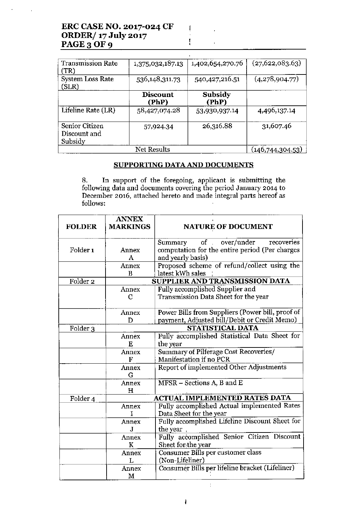| <b>Transmission Rate</b><br>(TR)          | 1,375,032,187.13         | 1,402,654,270.76 | (27, 622, 083.63) |
|-------------------------------------------|--------------------------|------------------|-------------------|
| <b>System Loss Rate</b><br>(SLR)          | 536,148,311.73           | 540,427,216.51   | (4,278,904.77)    |
|                                           | <b>Discount</b><br>(PhP) | Subsidy<br>(PhP) |                   |
| Lifeline Rate (LR)                        | 58,427,074.28            | 53,930,937.14    | 4,496,137.14      |
| Senior Citizen<br>Discount and<br>Subsidy | 57,924.34                | 26,316.88        | 31,607.46         |
|                                           | <b>Net Results</b>       |                  | (146,744,304.53)  |

ţ

 $\frac{1}{4}$ 

## SUPPORTING DATA AND DOCUMENTS

8. In support of the foregoing, applicant is snbmitting the following data and documents covering the period January 2014 to December 2016, attached hereto and made integral parts hereof as follows:

|                     | <b>ANNEX</b>    | <b>NATURE OF DOCUMENT</b>                        |  |
|---------------------|-----------------|--------------------------------------------------|--|
| <b>FOLDER</b>       | <b>MARKINGS</b> |                                                  |  |
|                     |                 | of over/under recoveries<br>Summary              |  |
| Folder <sub>1</sub> | Annex           | computation for the entire period (Per charges   |  |
|                     | A               | and yearly basis)                                |  |
|                     | Annex           | Proposed scheme of refund/collect using the      |  |
|                     | B               | latest kWh sales                                 |  |
| Folder <sub>2</sub> |                 | SUPPLIER AND TRANSMISSION DATA                   |  |
|                     | Annex           | Fully accomplished Supplier and                  |  |
|                     | С               | Transmission Data Sheet for the year             |  |
|                     |                 |                                                  |  |
|                     | Annex           | Power Bills from Suppliers (Power bill, proof of |  |
|                     | D               | payment, Adjusted bill/Debit or Credit Memo)     |  |
| Folder <sub>3</sub> |                 | <b>STATISTICAL DATA</b>                          |  |
|                     | Annex           | Fully accomplished Statistical Data Sheet for    |  |
|                     | E               | the year                                         |  |
|                     | Annex           | Summary of Pilferage Cost Recoveries/            |  |
|                     | F               | Manifestation if no PCR                          |  |
|                     | Annex           | Report of implemented Other Adjustments          |  |
|                     | G               |                                                  |  |
|                     | Annex           | MFSR - Sections A, B and E                       |  |
|                     | $\bf H$         |                                                  |  |
| Folder 4            |                 | <b>ACTUAL IMPLEMENTED RATES DATA</b>             |  |
|                     | Annex           | Fully accomplished Actual implemented Rates      |  |
|                     |                 | Data Sheet for the year                          |  |
|                     | Annex           | Fully accomplished Lifeline Discount Sheet for   |  |
|                     | J               | the year                                         |  |
|                     | Annex           | Fully accomplished Senior Citizen Discount       |  |
|                     | K               | Sheet for the year                               |  |
|                     | Annex           | Consumer Bills per customer class                |  |
|                     | L               | (Non-Lifeliner)                                  |  |
|                     | Annex           | Consumer Bills per lifeline bracket (Lifeliner)  |  |
|                     | М               |                                                  |  |

÷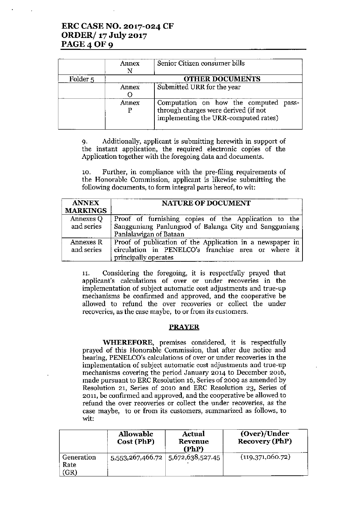# ERC CASE NO. 2017-024 CF ORDER/ 17 July 2017 PAGE 4 OF 9

|                     | Annex | Senior Citizen consumer bills                                                                                         |
|---------------------|-------|-----------------------------------------------------------------------------------------------------------------------|
| Folder <sub>5</sub> |       | <b>OTHER DOCUMENTS</b>                                                                                                |
|                     | Annex | Submitted URR for the year                                                                                            |
|                     | Annex | Computation on how the computed pass-<br>through charges were derived (if not<br>implementing the URR-computed rates) |

9. Additionally, applicant is submitting herewith in support of the instant application, the required electronic copies of the Application together with the foregoing data and documents.

10. Further, in compliance with the pre-filing requirements of the Honorable Commission, applicant is likewise submitting the following documents, to form integral parts hereof, to wit:

| <b>ANNEX</b>    | <b>NATURE OF DOCUMENT</b>                                 |  |  |
|-----------------|-----------------------------------------------------------|--|--|
| <b>MARKINGS</b> |                                                           |  |  |
| Annexes Q       | Proof of furnishing copies of the Application to the      |  |  |
| and series      | Sangguniang Panlungsod of Balanga City and Sangguniang    |  |  |
|                 | Panlalawigan of Bataan                                    |  |  |
| Annexes R       | Proof of publication of the Application in a newspaper in |  |  |
| and series      | circulation in PENELCO's franchise area or where it       |  |  |
|                 | principally operates                                      |  |  |

11. Considering the foregoing, it is respectfully prayed that applicant's calculations of over or under recoveries in the implementation of subject automatic cost adjustments and true-up mechanisms be confirmed and approved, and the cooperative be allowed to refund the over recoveries or collect the under recoveries, as the case maybe, to or from its customers.

### PRAYER

**WHEREFORE,** premises considered, it is respectfully prayed of this Honorable Commission, that after due notice and hearing, PENELCO's calculations of over or under recoveries in the implementation of subject automatic cost adjustments and true-up mechanisms covering the period January 2014 to December 2016, made pursuant to ERC Resolution 16, Series of 2009 as amended by Resolution 21, Series of 2010 and ERC Resolution 23, Series of 2011, be confirmed and approved, and the cooperative be allowed to refund the over recoveries or collect the under recoveries, as the case maybe, to or trom its customers, summarized as follows, to wit:

|                            | <b>Allowable</b><br>Cost (PhP) | Actual<br>Revenue<br>(PhP)              | (Over)/Under<br><b>Recovery (PhP)</b> |
|----------------------------|--------------------------------|-----------------------------------------|---------------------------------------|
| Generation<br>Rate<br>(GR) |                                | $5,553,267,466.72$   $5,672,638,527.45$ | (119,371,060.72)                      |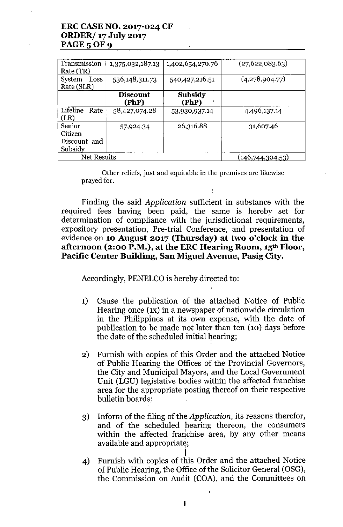# **ERCCASE NO. 2017-024 CF ORDER/ 17 July 2017 PAGE 5 OF 9**

| Transmission<br>Rate (TR)                    | 1,375,032,187.13         | 1,402,654,270.76 | (27,622,083.63)  |
|----------------------------------------------|--------------------------|------------------|------------------|
| System<br>Loss<br>Rate (SLR)                 | 536,148,311.73           | 540,427,216.51   | (4,278,904.77)   |
|                                              | <b>Discount</b><br>(PhP) | Subsidy<br>(PhP) |                  |
| Lifeline<br>Rate<br>(LR)                     | 58,427,074.28            | 53,930,937.14    | 4,496,137.14     |
| Senior<br>Citizen<br>Discount and<br>Subsidy | 57,924.34                | 26,316.88        | 31,607.46        |
| Net Results                                  |                          |                  | (146,744,304.53) |

**Other reliefs, just and equitable in the premises are likewise** prayed for.

Finding the said *Application* sufficient in substance with the required fees having been paid, the same is hereby set for determination of compliance with the jurisdictional requirements, expository presentation, Pre-trial Conference, and presentation of evidence on **10 August 2017 (Thursday) at two o'clock in the afternoon (2:00 P.M.), at the ERCHearing Room, 15th Floor, Pacific Center Building, San Miguel Avenue, Pasig City.**

Accordingly, PENELCO is hereby directed to:

- **1)** Cause the publication of the attached Notice of Public Hearing once (IX) in a newspaper of nationwide circulation in the Philippines at its own expense, with the date of publication to be made not later than ten (10) days before the date of the scheduled initial hearing;
- 2) Furnish with copies of this Order and the attached Notice of Public Hearing the Offices of the Provincial Governors, the City and Municipal Mayors, and the Local Government Unit (LGU) legislative bodies within the affected franchise area for the appropriate posting thereof on their respective bulletin boards;
- 3) Inform of the filing of the *Application,* its reasons therefor, and of the scheduled hearing thereon, the consumers within the affected franchise area, by any other means available and appropriate;
- I 4) Furnish with copies of this Order and the attached Notice of Public Hearing, the Office of the Solicitor General (OSG), the Commission on Audit (COA), and the Committees on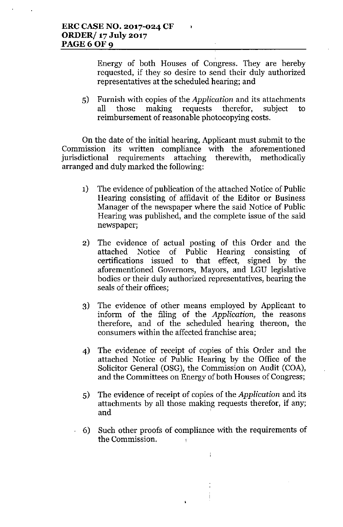Energy of both Houses of Congress. They are hereby requested, if they so desire to send their duly authorized representatives at the scheduled hearing; and

5) Furnish with copies of the *Application* and its attachments all those making requests therefor, subject to reimbursement of reasonable photocopying costs.

On the date of the initial hearing, Applicant must submit to the Commission its written compliance with the aforementioned jurisdictional requirements attaching therewith, methodically arranged and duly marked the following:

- 1) The evidence of publication of the attached Notice of Public Hearing consisting of affidavit of the Editor or Business Manager of the newspaper where the said Notice of Public Hearing was published, and the complete issue of the said newspaper;
- 2) The evidence of actual posting of this Order and the attached Notice of Public Hearing consisting of certifications issued to that effect, signed by the aforementioned Governors, Mayors, and LGU legislative bodies or their duly authorized representatives, bearing the seals of their offices;
- 3) The evidence of other means employed by Applicant to inform of the filing of the *Application,* the reasons therefore, and of the scheduled hearing thereon, the consumers within the affected franchise area;
- 4) The evidence of receipt of copies of this Order and the attached Notice of Public Hearing by the Office of the Solicitor General (OSG), the Commission on Audit (COA), and the Committees on Energy of both Houses of Congress;
- 5) The evidence of receipt of copies of the *Application* and its attachments by all those making requests therefor, if any; and '
- 6) Such other proofs of compliance with the requirements of the Commission. .

 $\ddot{1}$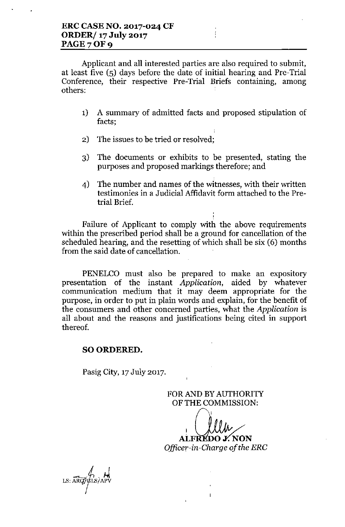Applicant and all interested parties are also required to submit, at least five (5) days before the date of initial hearing and Pre-Trial Conference, their respective Pre-Trial Briefs containing, among others:

- 1) A summary of admitted facts and proposed stipulation of facts;
- 2) The issues to be tried or resolved;
- 3) The documents or exhibits to be presented, stating the purposes and proposed markings therefore; and
- 4) The number and names of the witnesses, with their written testimonies in a Judicial Affidavit form attached to the Pretrial Brief.

Failure of Applicant to comply with the above requirements within the prescribed period shall be a ground for cancellation of the scheduled hearing, and the resetting of which shall be six (6) months from the said date of cancellation.

PENELCO must also be prepared to make an expository presentation of the instant *Application,* aided by whatever communication medium that it may deem appropriate for the purpose, in order to put in plain words and explain, for the benefit of the consumers and other concerned parties, what the *Application* is all about and the reasons and justifications being cited in support thereof.

## SO ORDERED.

Pasig City, 17 July 2017.

FOR AND BY AUTHORITY OF THE COMMISSION:

ALFRÉDO J. NON

Officer-in-Charge of the ERC

 $\mathbf{I}$ 

 $LS: \widehat{ARQ}/\widehat{GLS}/APV$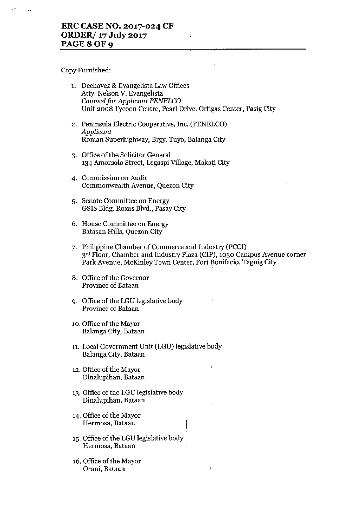Copy Furnished:

| 1. Dechavez & Evangelista Law Offices                            |
|------------------------------------------------------------------|
| Atty. Nelson V. Evangelista                                      |
| Counsel for Applicant PENELCO                                    |
| Unit 2008 Tycoon Centre, Pearl Drive, Ortigas Center, Pasig City |

- 2. Peninsula Electric Cooperative, Inc. (PENELCO) *Applicant* Roman Superhighway, Brgy. Tuyo, Balanga City
- 3. Office of the Solicitor General 134 Amorsolo Street, Legaspi Village, Makati City
- **4. Commission on Audit Commonwealth Avenue, Quezon City**
- **5. Senate Committee on Energy** GSIS Bldg. Roxas Blvd., Pasay City
- **6. House Committee on Energy** Batasan Hills, Quezon City
- 7. Philippine Chamber of Commerce and Industry (PCCI) 3<sup>rd</sup> Floor, Chamber and Industry Plaza (CIP), 1030 Campus Avenue corner **Park Avenue, McKinley Town Center, Fort Bonifacio, Taguig City**

 $\overline{1}$ 

- 8. Office of the Governor **Province of Bataan**
- 9. Office of the LGU legislative body **Province of Bataan**
- 10. Office of the Mayor **Balanga City, Bataan**
- 11. Local Government Unit (LGU) legislative body Balanga City, Bataan
- 12. Office of the Mayor **Dinalupihan, Bataan**
- 13. Office of the LGU legislative body **Dinalupihan, Bataan**
- 14. Office of the Mayor **Hermosa, Bataan**
- 15. Office of the LGU legislative body **Hermosa, Bataan**
- 16. Office of the Mayor **Orani, Bataan**